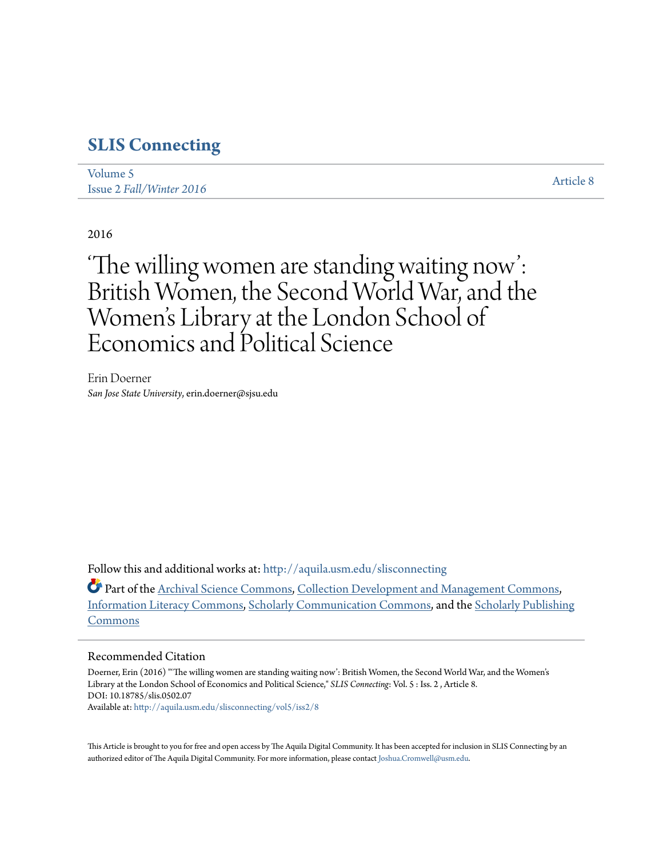## **[SLIS Connecting](http://aquila.usm.edu/slisconnecting?utm_source=aquila.usm.edu%2Fslisconnecting%2Fvol5%2Fiss2%2F8&utm_medium=PDF&utm_campaign=PDFCoverPages)**

| Volume 5                 | Article 8 |
|--------------------------|-----------|
| Issue 2 Fall/Winter 2016 |           |

#### 2016

# 'The willing women are standing waiting now': British Women, the Second World War, and the Women 's Library at the London School of Economics and Political Science

Erin Doerner *San Jose State University*, erin.doerner@sjsu.edu

Follow this and additional works at: [http://aquila.usm.edu/slisconnecting](http://aquila.usm.edu/slisconnecting?utm_source=aquila.usm.edu%2Fslisconnecting%2Fvol5%2Fiss2%2F8&utm_medium=PDF&utm_campaign=PDFCoverPages)

**Part of the [Archival Science Commons,](http://network.bepress.com/hgg/discipline/1021?utm_source=aquila.usm.edu%2Fslisconnecting%2Fvol5%2Fiss2%2F8&utm_medium=PDF&utm_campaign=PDFCoverPages) [Collection Development and Management Commons,](http://network.bepress.com/hgg/discipline/1271?utm_source=aquila.usm.edu%2Fslisconnecting%2Fvol5%2Fiss2%2F8&utm_medium=PDF&utm_campaign=PDFCoverPages)** [Information Literacy Commons,](http://network.bepress.com/hgg/discipline/1243?utm_source=aquila.usm.edu%2Fslisconnecting%2Fvol5%2Fiss2%2F8&utm_medium=PDF&utm_campaign=PDFCoverPages) [Scholarly Communication Commons](http://network.bepress.com/hgg/discipline/1272?utm_source=aquila.usm.edu%2Fslisconnecting%2Fvol5%2Fiss2%2F8&utm_medium=PDF&utm_campaign=PDFCoverPages), and the [Scholarly Publishing](http://network.bepress.com/hgg/discipline/1273?utm_source=aquila.usm.edu%2Fslisconnecting%2Fvol5%2Fiss2%2F8&utm_medium=PDF&utm_campaign=PDFCoverPages) [Commons](http://network.bepress.com/hgg/discipline/1273?utm_source=aquila.usm.edu%2Fslisconnecting%2Fvol5%2Fiss2%2F8&utm_medium=PDF&utm_campaign=PDFCoverPages)

#### Recommended Citation

Doerner, Erin (2016) "'The willing women are standing waiting now': British Women, the Second World War, and the Women's Library at the London School of Economics and Political Science," *SLIS Connecting*: Vol. 5 : Iss. 2 , Article 8. DOI: 10.18785/slis.0502.07 Available at: [http://aquila.usm.edu/slisconnecting/vol5/iss2/8](http://aquila.usm.edu/slisconnecting/vol5/iss2/8?utm_source=aquila.usm.edu%2Fslisconnecting%2Fvol5%2Fiss2%2F8&utm_medium=PDF&utm_campaign=PDFCoverPages)

This Article is brought to you for free and open access by The Aquila Digital Community. It has been accepted for inclusion in SLIS Connecting by an authorized editor of The Aquila Digital Community. For more information, please contact [Joshua.Cromwell@usm.edu.](mailto:Joshua.Cromwell@usm.edu)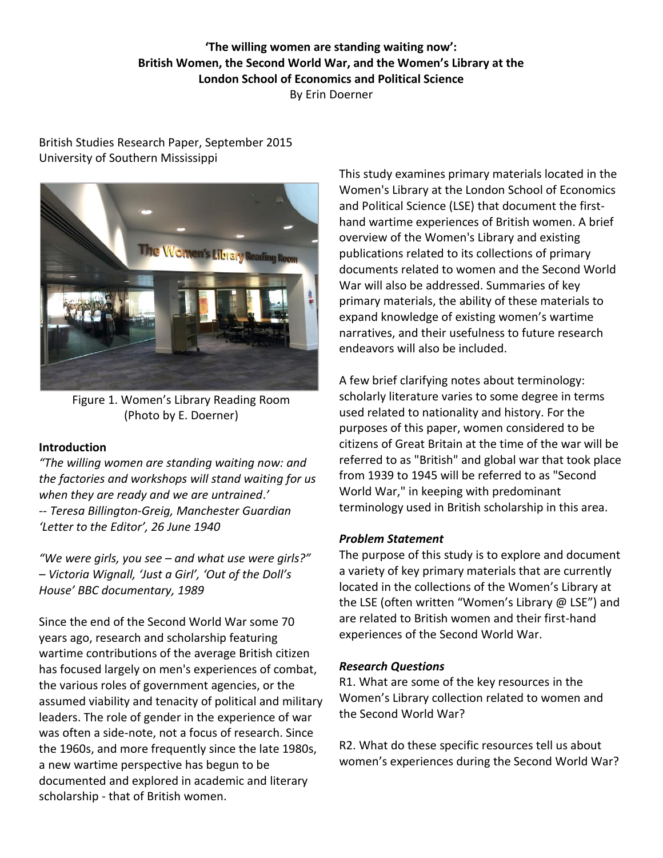## **'The willing women are standing waiting now': British Women, the Second World War, and the Women's Library at the London School of Economics and Political Science** By Erin Doerner

## British Studies Research Paper, September 2015 University of Southern Mississippi



Figure 1. Women's Library Reading Room (Photo by E. Doerner)

## **Introduction**

*"The willing women are standing waiting now: and the factories and workshops will stand waiting for us when they are ready and we are untrained*.*' -- Teresa Billington-Greig, Manchester Guardian 'Letter to the Editor', 26 June 1940*

*"We were girls, you see – and what use were girls?" – Victoria Wignall, 'Just a Girl', 'Out of the Doll's House' BBC documentary, 1989*

Since the end of the Second World War some 70 years ago, research and scholarship featuring wartime contributions of the average British citizen has focused largely on men's experiences of combat, the various roles of government agencies, or the assumed viability and tenacity of political and military leaders. The role of gender in the experience of war was often a side-note, not a focus of research. Since the 1960s, and more frequently since the late 1980s, a new wartime perspective has begun to be documented and explored in academic and literary scholarship - that of British women.

This study examines primary materials located in the Women's Library at the London School of Economics and Political Science (LSE) that document the firsthand wartime experiences of British women. A brief overview of the Women's Library and existing publications related to its collections of primary documents related to women and the Second World War will also be addressed. Summaries of key primary materials, the ability of these materials to expand knowledge of existing women's wartime narratives, and their usefulness to future research endeavors will also be included.

A few brief clarifying notes about terminology: scholarly literature varies to some degree in terms used related to nationality and history. For the purposes of this paper, women considered to be citizens of Great Britain at the time of the war will be referred to as "British" and global war that took place from 1939 to 1945 will be referred to as "Second World War," in keeping with predominant terminology used in British scholarship in this area.

## *Problem Statement*

The purpose of this study is to explore and document a variety of key primary materials that are currently located in the collections of the Women's Library at the LSE (often written "Women's Library @ LSE") and are related to British women and their first-hand experiences of the Second World War.

## *Research Questions*

R1. What are some of the key resources in the Women's Library collection related to women and the Second World War?

R2. What do these specific resources tell us about women's experiences during the Second World War?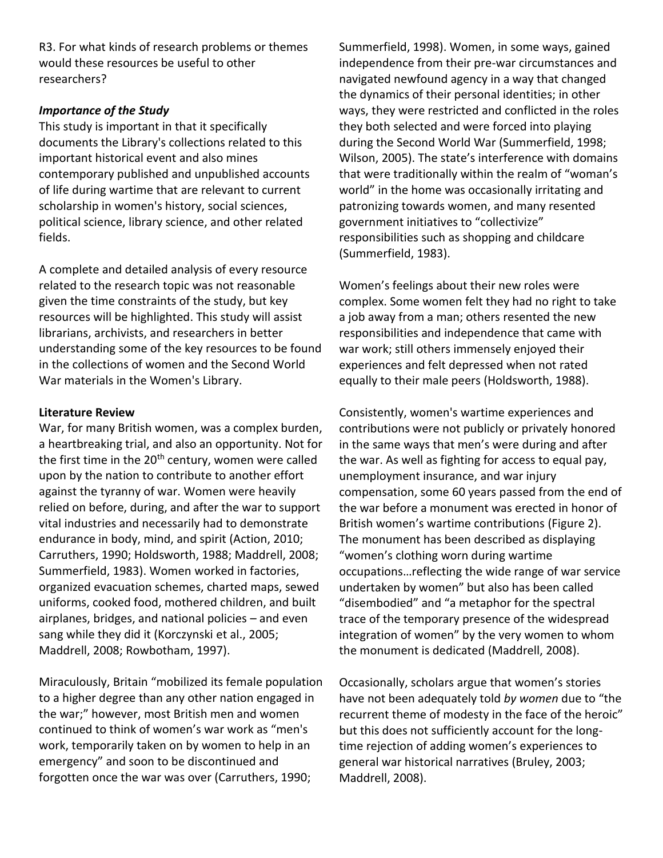R3. For what kinds of research problems or themes would these resources be useful to other researchers?

#### *Importance of the Study*

This study is important in that it specifically documents the Library's collections related to this important historical event and also mines contemporary published and unpublished accounts of life during wartime that are relevant to current scholarship in women's history, social sciences, political science, library science, and other related fields.

A complete and detailed analysis of every resource related to the research topic was not reasonable given the time constraints of the study, but key resources will be highlighted. This study will assist librarians, archivists, and researchers in better understanding some of the key resources to be found in the collections of women and the Second World War materials in the Women's Library.

#### **Literature Review**

War, for many British women, was a complex burden, a heartbreaking trial, and also an opportunity. Not for the first time in the  $20<sup>th</sup>$  century, women were called upon by the nation to contribute to another effort against the tyranny of war. Women were heavily relied on before, during, and after the war to support vital industries and necessarily had to demonstrate endurance in body, mind, and spirit (Action, 2010; Carruthers, 1990; Holdsworth, 1988; Maddrell, 2008; Summerfield, 1983). Women worked in factories, organized evacuation schemes, charted maps, sewed uniforms, cooked food, mothered children, and built airplanes, bridges, and national policies – and even sang while they did it (Korczynski et al., 2005; Maddrell, 2008; Rowbotham, 1997).

Miraculously, Britain "mobilized its female population to a higher degree than any other nation engaged in the war;" however, most British men and women continued to think of women's war work as "men's work, temporarily taken on by women to help in an emergency" and soon to be discontinued and forgotten once the war was over (Carruthers, 1990;

Summerfield, 1998). Women, in some ways, gained independence from their pre-war circumstances and navigated newfound agency in a way that changed the dynamics of their personal identities; in other ways, they were restricted and conflicted in the roles they both selected and were forced into playing during the Second World War (Summerfield, 1998; Wilson, 2005). The state's interference with domains that were traditionally within the realm of "woman's world" in the home was occasionally irritating and patronizing towards women, and many resented government initiatives to "collectivize" responsibilities such as shopping and childcare (Summerfield, 1983).

Women's feelings about their new roles were complex. Some women felt they had no right to take a job away from a man; others resented the new responsibilities and independence that came with war work; still others immensely enjoyed their experiences and felt depressed when not rated equally to their male peers (Holdsworth, 1988).

Consistently, women's wartime experiences and contributions were not publicly or privately honored in the same ways that men's were during and after the war. As well as fighting for access to equal pay, unemployment insurance, and war injury compensation, some 60 years passed from the end of the war before a monument was erected in honor of British women's wartime contributions (Figure 2). The monument has been described as displaying "women's clothing worn during wartime occupations…reflecting the wide range of war service undertaken by women" but also has been called "disembodied" and "a metaphor for the spectral trace of the temporary presence of the widespread integration of women" by the very women to whom the monument is dedicated (Maddrell, 2008).

Occasionally, scholars argue that women's stories have not been adequately told *by women* due to "the recurrent theme of modesty in the face of the heroic" but this does not sufficiently account for the longtime rejection of adding women's experiences to general war historical narratives (Bruley, 2003; Maddrell, 2008).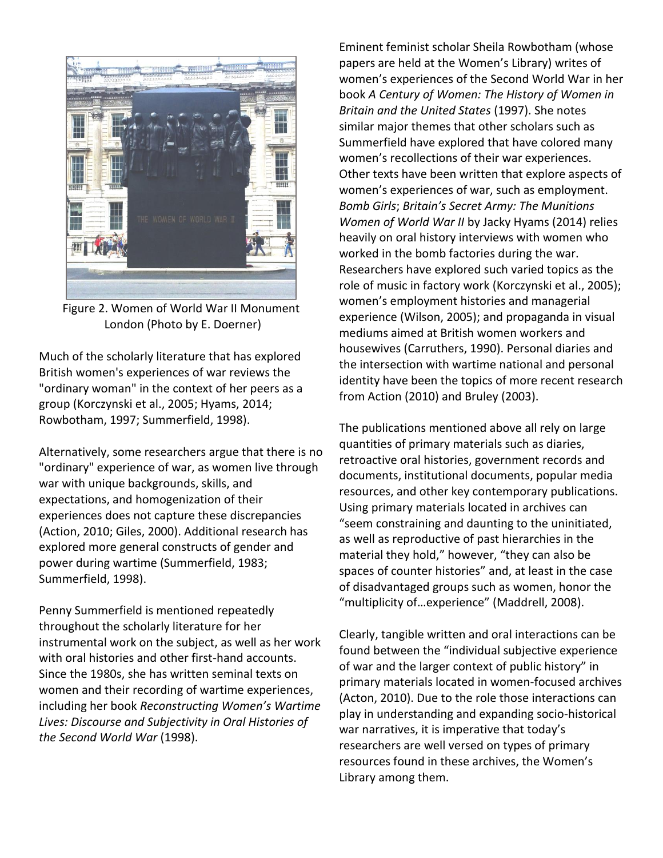

Figure 2. Women of World War II Monument London (Photo by E. Doerner)

Much of the scholarly literature that has explored British women's experiences of war reviews the "ordinary woman" in the context of her peers as a group (Korczynski et al., 2005; Hyams, 2014; Rowbotham, 1997; Summerfield, 1998).

Alternatively, some researchers argue that there is no "ordinary" experience of war, as women live through war with unique backgrounds, skills, and expectations, and homogenization of their experiences does not capture these discrepancies (Action, 2010; Giles, 2000). Additional research has explored more general constructs of gender and power during wartime (Summerfield, 1983; Summerfield, 1998).

Penny Summerfield is mentioned repeatedly throughout the scholarly literature for her instrumental work on the subject, as well as her work with oral histories and other first-hand accounts. Since the 1980s, she has written seminal texts on women and their recording of wartime experiences, including her book *Reconstructing Women's Wartime Lives: Discourse and Subjectivity in Oral Histories of the Second World War* (1998).

Eminent feminist scholar Sheila Rowbotham (whose papers are held at the Women's Library) writes of women's experiences of the Second World War in her book *A Century of Women: The History of Women in Britain and the United States* (1997). She notes similar major themes that other scholars such as Summerfield have explored that have colored many women's recollections of their war experiences. Other texts have been written that explore aspects of women's experiences of war, such as employment. *Bomb Girls*; *Britain's Secret Army: The Munitions Women of World War II* by Jacky Hyams (2014) relies heavily on oral history interviews with women who worked in the bomb factories during the war. Researchers have explored such varied topics as the role of music in factory work (Korczynski et al., 2005); women's employment histories and managerial experience (Wilson, 2005); and propaganda in visual mediums aimed at British women workers and housewives (Carruthers, 1990). Personal diaries and the intersection with wartime national and personal identity have been the topics of more recent research from Action (2010) and Bruley (2003).

The publications mentioned above all rely on large quantities of primary materials such as diaries, retroactive oral histories, government records and documents, institutional documents, popular media resources, and other key contemporary publications. Using primary materials located in archives can "seem constraining and daunting to the uninitiated, as well as reproductive of past hierarchies in the material they hold," however, "they can also be spaces of counter histories" and, at least in the case of disadvantaged groups such as women, honor the "multiplicity of…experience" (Maddrell, 2008).

Clearly, tangible written and oral interactions can be found between the "individual subjective experience of war and the larger context of public history" in primary materials located in women-focused archives (Acton, 2010). Due to the role those interactions can play in understanding and expanding socio-historical war narratives, it is imperative that today's researchers are well versed on types of primary resources found in these archives, the Women's Library among them.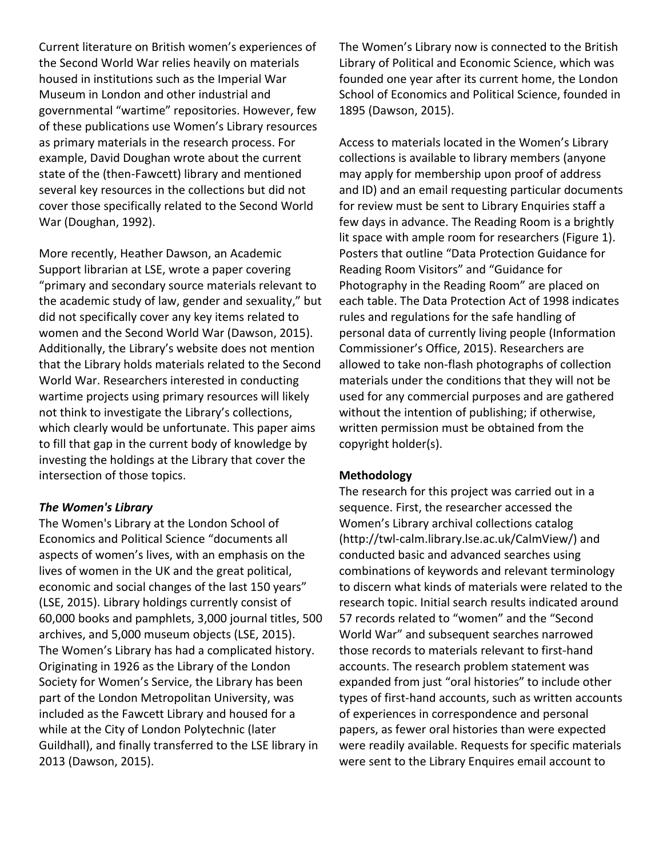Current literature on British women's experiences of the Second World War relies heavily on materials housed in institutions such as the Imperial War Museum in London and other industrial and governmental "wartime" repositories. However, few of these publications use Women's Library resources as primary materials in the research process. For example, David Doughan wrote about the current state of the (then-Fawcett) library and mentioned several key resources in the collections but did not cover those specifically related to the Second World War (Doughan, 1992).

More recently, Heather Dawson, an Academic Support librarian at LSE, wrote a paper covering "primary and secondary source materials relevant to the academic study of law, gender and sexuality," but did not specifically cover any key items related to women and the Second World War (Dawson, 2015). Additionally, the Library's website does not mention that the Library holds materials related to the Second World War. Researchers interested in conducting wartime projects using primary resources will likely not think to investigate the Library's collections, which clearly would be unfortunate. This paper aims to fill that gap in the current body of knowledge by investing the holdings at the Library that cover the intersection of those topics.

#### *The Women's Library*

The Women's Library at the London School of Economics and Political Science "documents all aspects of women's lives, with an emphasis on the lives of women in the UK and the great political, economic and social changes of the last 150 years" (LSE, 2015). Library holdings currently consist of 60,000 books and pamphlets, 3,000 journal titles, 500 archives, and 5,000 museum objects (LSE, 2015). The Women's Library has had a complicated history. Originating in 1926 as the Library of the London Society for Women's Service, the Library has been part of the London Metropolitan University, was included as the Fawcett Library and housed for a while at the City of London Polytechnic (later Guildhall), and finally transferred to the LSE library in 2013 (Dawson, 2015).

The Women's Library now is connected to the British Library of Political and Economic Science, which was founded one year after its current home, the London School of Economics and Political Science, founded in 1895 (Dawson, 2015).

Access to materials located in the Women's Library collections is available to library members (anyone may apply for membership upon proof of address and ID) and an email requesting particular documents for review must be sent to Library Enquiries staff a few days in advance. The Reading Room is a brightly lit space with ample room for researchers (Figure 1). Posters that outline "Data Protection Guidance for Reading Room Visitors" and "Guidance for Photography in the Reading Room" are placed on each table. The Data Protection Act of 1998 indicates rules and regulations for the safe handling of personal data of currently living people (Information Commissioner's Office, 2015). Researchers are allowed to take non-flash photographs of collection materials under the conditions that they will not be used for any commercial purposes and are gathered without the intention of publishing; if otherwise, written permission must be obtained from the copyright holder(s).

#### **Methodology**

The research for this project was carried out in a sequence. First, the researcher accessed the Women's Library archival collections catalog (http://twl-calm.library.lse.ac.uk/CalmView/) and conducted basic and advanced searches using combinations of keywords and relevant terminology to discern what kinds of materials were related to the research topic. Initial search results indicated around 57 records related to "women" and the "Second World War" and subsequent searches narrowed those records to materials relevant to first-hand accounts. The research problem statement was expanded from just "oral histories" to include other types of first-hand accounts, such as written accounts of experiences in correspondence and personal papers, as fewer oral histories than were expected were readily available. Requests for specific materials were sent to the Library Enquires email account to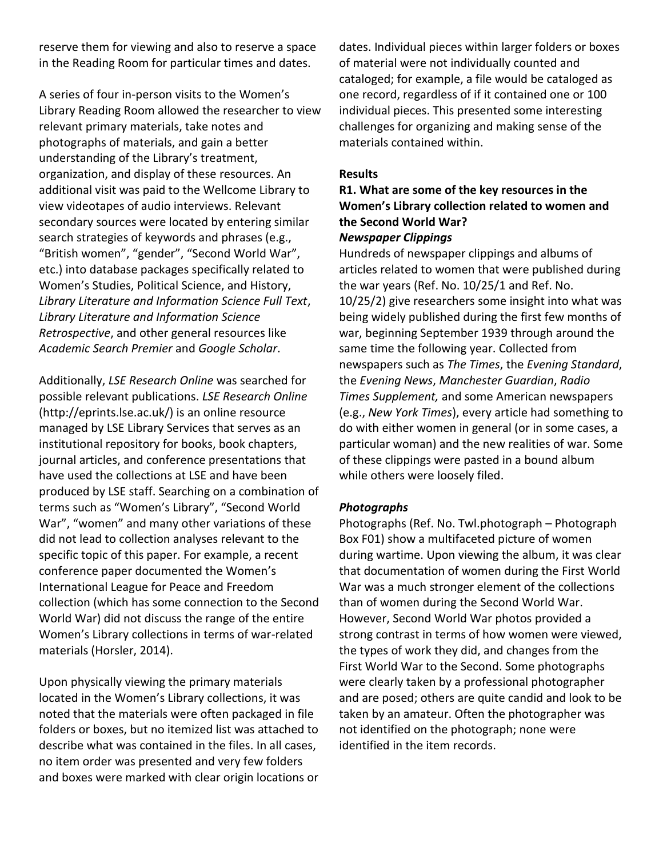reserve them for viewing and also to reserve a space in the Reading Room for particular times and dates.

A series of four in-person visits to the Women's Library Reading Room allowed the researcher to view relevant primary materials, take notes and photographs of materials, and gain a better understanding of the Library's treatment, organization, and display of these resources. An additional visit was paid to the Wellcome Library to view videotapes of audio interviews. Relevant secondary sources were located by entering similar search strategies of keywords and phrases (e.g., "British women", "gender", "Second World War", etc.) into database packages specifically related to Women's Studies, Political Science, and History, *Library Literature and Information Science Full Text*, *Library Literature and Information Science Retrospective*, and other general resources like *Academic Search Premier* and *Google Scholar*.

Additionally, *LSE Research Online* was searched for possible relevant publications. *LSE Research Online* (http://eprints.lse.ac.uk/) is an online resource managed by LSE Library Services that serves as an institutional repository for books, book chapters, journal articles, and conference presentations that have used the collections at LSE and have been produced by LSE staff. Searching on a combination of terms such as "Women's Library", "Second World War", "women" and many other variations of these did not lead to collection analyses relevant to the specific topic of this paper. For example, a recent conference paper documented the Women's International League for Peace and Freedom collection (which has some connection to the Second World War) did not discuss the range of the entire Women's Library collections in terms of war-related materials (Horsler, 2014).

Upon physically viewing the primary materials located in the Women's Library collections, it was noted that the materials were often packaged in file folders or boxes, but no itemized list was attached to describe what was contained in the files. In all cases, no item order was presented and very few folders and boxes were marked with clear origin locations or dates. Individual pieces within larger folders or boxes of material were not individually counted and cataloged; for example, a file would be cataloged as one record, regardless of if it contained one or 100 individual pieces. This presented some interesting challenges for organizing and making sense of the materials contained within.

#### **Results**

## **R1. What are some of the key resources in the Women's Library collection related to women and the Second World War?**

#### *Newspaper Clippings*

Hundreds of newspaper clippings and albums of articles related to women that were published during the war years (Ref. No. 10/25/1 and Ref. No. 10/25/2) give researchers some insight into what was being widely published during the first few months of war, beginning September 1939 through around the same time the following year. Collected from newspapers such as *The Times*, the *Evening Standard*, the *Evening News*, *Manchester Guardian*, *Radio Times Supplement,* and some American newspapers (e.g., *New York Times*), every article had something to do with either women in general (or in some cases, a particular woman) and the new realities of war. Some of these clippings were pasted in a bound album while others were loosely filed.

#### *Photographs*

Photographs (Ref. No. Twl.photograph – Photograph Box F01) show a multifaceted picture of women during wartime. Upon viewing the album, it was clear that documentation of women during the First World War was a much stronger element of the collections than of women during the Second World War. However, Second World War photos provided a strong contrast in terms of how women were viewed, the types of work they did, and changes from the First World War to the Second. Some photographs were clearly taken by a professional photographer and are posed; others are quite candid and look to be taken by an amateur. Often the photographer was not identified on the photograph; none were identified in the item records.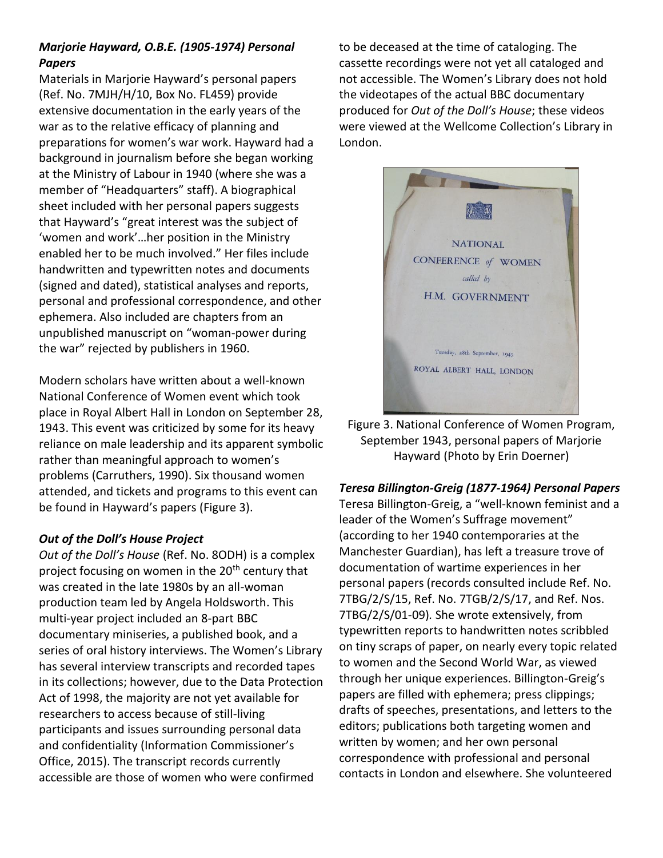## *Marjorie Hayward, O.B.E. (1905-1974) Personal Papers*

Materials in Marjorie Hayward's personal papers (Ref. No. 7MJH/H/10, Box No. FL459) provide extensive documentation in the early years of the war as to the relative efficacy of planning and preparations for women's war work. Hayward had a background in journalism before she began working at the Ministry of Labour in 1940 (where she was a member of "Headquarters" staff). A biographical sheet included with her personal papers suggests that Hayward's "great interest was the subject of 'women and work'…her position in the Ministry enabled her to be much involved." Her files include handwritten and typewritten notes and documents (signed and dated), statistical analyses and reports, personal and professional correspondence, and other ephemera. Also included are chapters from an unpublished manuscript on "woman-power during the war" rejected by publishers in 1960.

Modern scholars have written about a well-known National Conference of Women event which took place in Royal Albert Hall in London on September 28, 1943. This event was criticized by some for its heavy reliance on male leadership and its apparent symbolic rather than meaningful approach to women's problems (Carruthers, 1990). Six thousand women attended, and tickets and programs to this event can be found in Hayward's papers (Figure 3).

## *Out of the Doll's House Project*

*Out of the Doll's House* (Ref. No. 8ODH) is a complex project focusing on women in the 20<sup>th</sup> century that was created in the late 1980s by an all-woman production team led by Angela Holdsworth. This multi-year project included an 8-part BBC documentary miniseries, a published book, and a series of oral history interviews. The Women's Library has several interview transcripts and recorded tapes in its collections; however, due to the Data Protection Act of 1998, the majority are not yet available for researchers to access because of still-living participants and issues surrounding personal data and confidentiality (Information Commissioner's Office, 2015). The transcript records currently accessible are those of women who were confirmed

to be deceased at the time of cataloging. The cassette recordings were not yet all cataloged and not accessible. The Women's Library does not hold the videotapes of the actual BBC documentary produced for *Out of the Doll's House*; these videos were viewed at the Wellcome Collection's Library in London.



Figure 3. National Conference of Women Program, September 1943, personal papers of Marjorie Hayward (Photo by Erin Doerner)

## *Teresa Billington-Greig (1877-1964) Personal Papers*

Teresa Billington-Greig, a "well-known feminist and a leader of the Women's Suffrage movement" (according to her 1940 contemporaries at the Manchester Guardian), has left a treasure trove of documentation of wartime experiences in her personal papers (records consulted include Ref. No. 7TBG/2/S/15, Ref. No. 7TGB/2/S/17, and Ref. Nos. 7TBG/2/S/01-09)*.* She wrote extensively, from typewritten reports to handwritten notes scribbled on tiny scraps of paper, on nearly every topic related to women and the Second World War, as viewed through her unique experiences. Billington-Greig's papers are filled with ephemera; press clippings; drafts of speeches, presentations, and letters to the editors; publications both targeting women and written by women; and her own personal correspondence with professional and personal contacts in London and elsewhere. She volunteered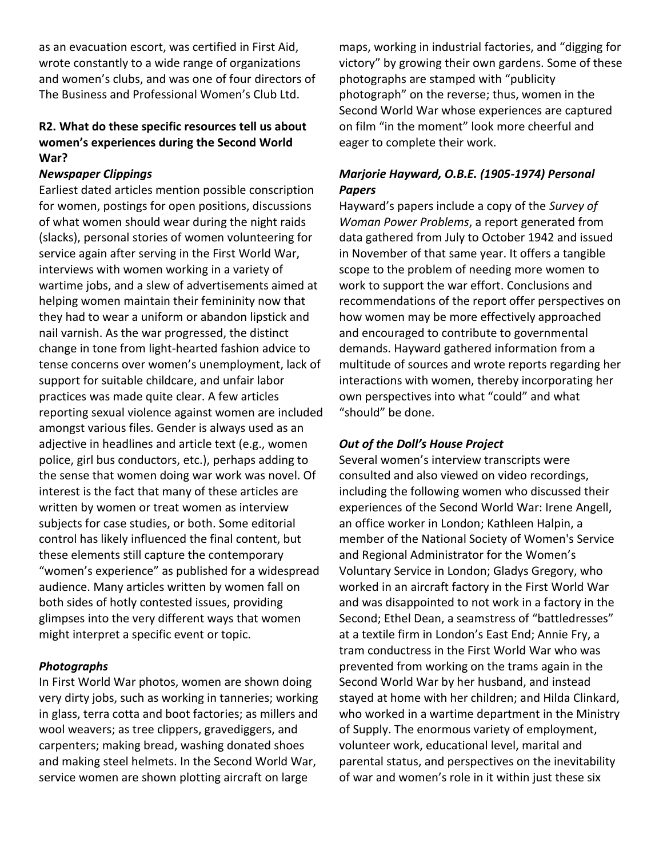as an evacuation escort, was certified in First Aid, wrote constantly to a wide range of organizations and women's clubs, and was one of four directors of The Business and Professional Women's Club Ltd.

## **R2. What do these specific resources tell us about women's experiences during the Second World War?**

#### *Newspaper Clippings*

Earliest dated articles mention possible conscription for women, postings for open positions, discussions of what women should wear during the night raids (slacks), personal stories of women volunteering for service again after serving in the First World War, interviews with women working in a variety of wartime jobs, and a slew of advertisements aimed at helping women maintain their femininity now that they had to wear a uniform or abandon lipstick and nail varnish. As the war progressed, the distinct change in tone from light-hearted fashion advice to tense concerns over women's unemployment, lack of support for suitable childcare, and unfair labor practices was made quite clear. A few articles reporting sexual violence against women are included amongst various files. Gender is always used as an adjective in headlines and article text (e.g., women police, girl bus conductors, etc.), perhaps adding to the sense that women doing war work was novel. Of interest is the fact that many of these articles are written by women or treat women as interview subjects for case studies, or both. Some editorial control has likely influenced the final content, but these elements still capture the contemporary "women's experience" as published for a widespread audience. Many articles written by women fall on both sides of hotly contested issues, providing glimpses into the very different ways that women might interpret a specific event or topic.

#### *Photographs*

In First World War photos, women are shown doing very dirty jobs, such as working in tanneries; working in glass, terra cotta and boot factories; as millers and wool weavers; as tree clippers, gravediggers, and carpenters; making bread, washing donated shoes and making steel helmets. In the Second World War, service women are shown plotting aircraft on large

maps, working in industrial factories, and "digging for victory" by growing their own gardens. Some of these photographs are stamped with "publicity photograph" on the reverse; thus, women in the Second World War whose experiences are captured on film "in the moment" look more cheerful and eager to complete their work.

## *Marjorie Hayward, O.B.E. (1905-1974) Personal Papers*

Hayward's papers include a copy of the *Survey of Woman Power Problems*, a report generated from data gathered from July to October 1942 and issued in November of that same year. It offers a tangible scope to the problem of needing more women to work to support the war effort. Conclusions and recommendations of the report offer perspectives on how women may be more effectively approached and encouraged to contribute to governmental demands. Hayward gathered information from a multitude of sources and wrote reports regarding her interactions with women, thereby incorporating her own perspectives into what "could" and what "should" be done.

#### *Out of the Doll's House Project*

Several women's interview transcripts were consulted and also viewed on video recordings, including the following women who discussed their experiences of the Second World War: Irene Angell, an office worker in London; Kathleen Halpin, a member of the National Society of Women's Service and Regional Administrator for the Women's Voluntary Service in London; Gladys Gregory, who worked in an aircraft factory in the First World War and was disappointed to not work in a factory in the Second; Ethel Dean, a seamstress of "battledresses" at a textile firm in London's East End; Annie Fry, a tram conductress in the First World War who was prevented from working on the trams again in the Second World War by her husband, and instead stayed at home with her children; and Hilda Clinkard, who worked in a wartime department in the Ministry of Supply. The enormous variety of employment, volunteer work, educational level, marital and parental status, and perspectives on the inevitability of war and women's role in it within just these six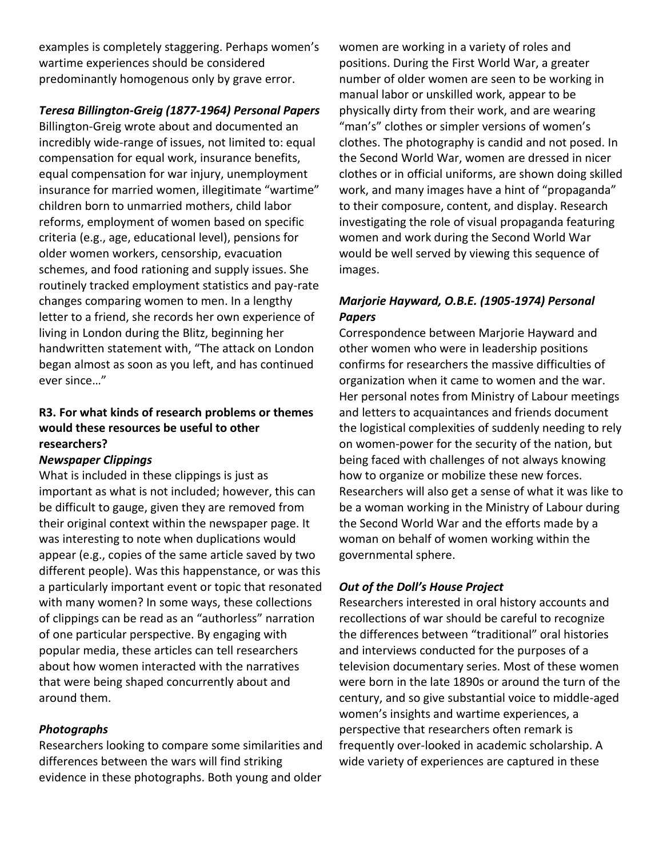examples is completely staggering. Perhaps women's wartime experiences should be considered predominantly homogenous only by grave error.

## *Teresa Billington-Greig (1877-1964) Personal Papers*

Billington-Greig wrote about and documented an incredibly wide-range of issues, not limited to: equal compensation for equal work, insurance benefits, equal compensation for war injury, unemployment insurance for married women, illegitimate "wartime" children born to unmarried mothers, child labor reforms, employment of women based on specific criteria (e.g., age, educational level), pensions for older women workers, censorship, evacuation schemes, and food rationing and supply issues. She routinely tracked employment statistics and pay-rate changes comparing women to men. In a lengthy letter to a friend, she records her own experience of living in London during the Blitz, beginning her handwritten statement with, "The attack on London began almost as soon as you left, and has continued ever since…"

## **R3. For what kinds of research problems or themes would these resources be useful to other researchers?**

#### *Newspaper Clippings*

What is included in these clippings is just as important as what is not included; however, this can be difficult to gauge, given they are removed from their original context within the newspaper page. It was interesting to note when duplications would appear (e.g., copies of the same article saved by two different people). Was this happenstance, or was this a particularly important event or topic that resonated with many women? In some ways, these collections of clippings can be read as an "authorless" narration of one particular perspective. By engaging with popular media, these articles can tell researchers about how women interacted with the narratives that were being shaped concurrently about and around them.

## *Photographs*

Researchers looking to compare some similarities and differences between the wars will find striking evidence in these photographs. Both young and older women are working in a variety of roles and positions. During the First World War, a greater number of older women are seen to be working in manual labor or unskilled work, appear to be physically dirty from their work, and are wearing "man's" clothes or simpler versions of women's clothes. The photography is candid and not posed. In the Second World War, women are dressed in nicer clothes or in official uniforms, are shown doing skilled work, and many images have a hint of "propaganda" to their composure, content, and display. Research investigating the role of visual propaganda featuring women and work during the Second World War would be well served by viewing this sequence of images.

## *Marjorie Hayward, O.B.E. (1905-1974) Personal Papers*

Correspondence between Marjorie Hayward and other women who were in leadership positions confirms for researchers the massive difficulties of organization when it came to women and the war. Her personal notes from Ministry of Labour meetings and letters to acquaintances and friends document the logistical complexities of suddenly needing to rely on women-power for the security of the nation, but being faced with challenges of not always knowing how to organize or mobilize these new forces. Researchers will also get a sense of what it was like to be a woman working in the Ministry of Labour during the Second World War and the efforts made by a woman on behalf of women working within the governmental sphere.

## *Out of the Doll's House Project*

Researchers interested in oral history accounts and recollections of war should be careful to recognize the differences between "traditional" oral histories and interviews conducted for the purposes of a television documentary series. Most of these women were born in the late 1890s or around the turn of the century, and so give substantial voice to middle-aged women's insights and wartime experiences, a perspective that researchers often remark is frequently over-looked in academic scholarship. A wide variety of experiences are captured in these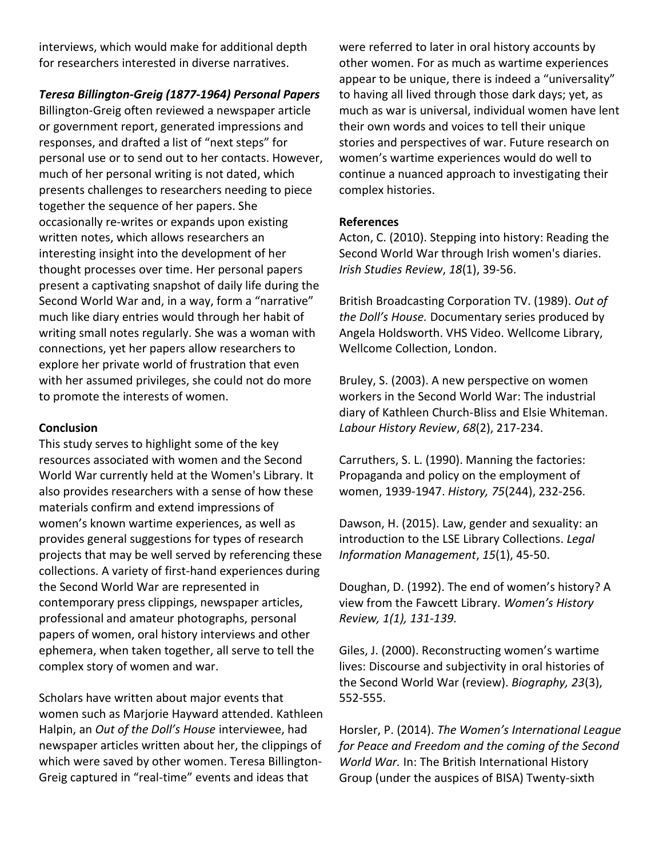interviews, which would make for additional depth for researchers interested in diverse narratives.

*Teresa Billington-Greig (1877-1964) Personal Papers*

Billington-Greig often reviewed a newspaper article or government report, generated impressions and responses, and drafted a list of "next steps" for personal use or to send out to her contacts. However, much of her personal writing is not dated, which presents challenges to researchers needing to piece together the sequence of her papers. She occasionally re-writes or expands upon existing written notes, which allows researchers an interesting insight into the development of her thought processes over time. Her personal papers present a captivating snapshot of daily life during the Second World War and, in a way, form a "narrative" much like diary entries would through her habit of writing small notes regularly. She was a woman with connections, yet her papers allow researchers to explore her private world of frustration that even with her assumed privileges, she could not do more to promote the interests of women.

#### **Conclusion**

This study serves to highlight some of the key resources associated with women and the Second World War currently held at the Women's Library. It also provides researchers with a sense of how these materials confirm and extend impressions of women's known wartime experiences, as well as provides general suggestions for types of research projects that may be well served by referencing these collections. A variety of first-hand experiences during the Second World War are represented in contemporary press clippings, newspaper articles, professional and amateur photographs, personal papers of women, oral history interviews and other ephemera, when taken together, all serve to tell the complex story of women and war.

Scholars have written about major events that women such as Marjorie Hayward attended. Kathleen Halpin, an *Out of the Doll's House* interviewee, had newspaper articles written about her, the clippings of which were saved by other women. Teresa Billington-Greig captured in "real-time" events and ideas that

were referred to later in oral history accounts by other women. For as much as wartime experiences appear to be unique, there is indeed a "universality" to having all lived through those dark days; yet, as much as war is universal, individual women have lent their own words and voices to tell their unique stories and perspectives of war. Future research on women's wartime experiences would do well to continue a nuanced approach to investigating their complex histories.

#### **References**

Acton, C. (2010). Stepping into history: Reading the Second World War through Irish women's diaries. *Irish Studies Review*, *18*(1), 39-56.

British Broadcasting Corporation TV. (1989). *Out of the Doll's House.* Documentary series produced by Angela Holdsworth. VHS Video. Wellcome Library, Wellcome Collection, London.

Bruley, S. (2003). A new perspective on women workers in the Second World War: The industrial diary of Kathleen Church-Bliss and Elsie Whiteman. *Labour History Review*, *68*(2), 217-234.

Carruthers, S. L. (1990). Manning the factories: Propaganda and policy on the employment of women, 1939-1947. *History, 75*(244), 232-256.

Dawson, H. (2015). Law, gender and sexuality: an introduction to the LSE Library Collections. *Legal Information Management*, *15*(1), 45-50.

Doughan, D. (1992). The end of women's history? A view from the Fawcett Library. *Women's History Review, 1(1), 131-139.*

Giles, J. (2000). Reconstructing women's wartime lives: Discourse and subjectivity in oral histories of the Second World War (review). *Biography, 23*(3), 552-555.

Horsler, P. (2014). *The Women's International League for Peace and Freedom and the coming of the Second World War.* In: The British International History Group (under the auspices of BISA) Twenty-sixth